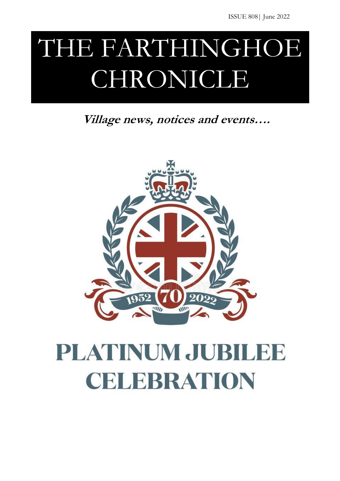# THE FARTHINGHOE CHRONICLE

**Village news, notices and events….**



# PLATINUM JUBILEE CELEBRATION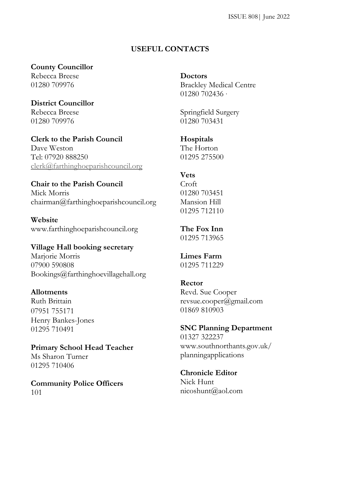### **USEFUL CONTACTS**

#### **County Councillor**

Rebecca Breese 01280 709976

**District Councillor** Rebecca Breese 01280 709976

**Clerk to the Parish Council** Dave Weston Tel: [07920 888250](tel://07920%20888250/) [clerk@farthinghoeparishcouncil.org](mailto:clerk@farthinghoeparishcouncil.org)

## **Chair to the Parish Council**

Mick Morris chairman@farthinghoeparishcouncil.org

**Website** www.farthinghoeparishcouncil.org

## **Village Hall booking secretary**

Marjorie Morris 07900 590808 Bookings@farthinghoevillagehall.org

#### **Allotments**

Ruth Brittain 07951 755171 Henry Bankes-Jones 01295 710491

**Primary School Head Teacher** Ms Sharon Turner 01295 710406

**Community Police Officers** 101

**Doctors** Brackley Medical Centre 01280 702436 ·

Springfield Surgery 01280 703431

### **Hospitals**

The Horton 01295 275500

#### **Vets**

Croft 01280 703451 Mansion Hill 01295 712110

**The Fox Inn** 01295 713965

**Limes Farm** 01295 711229

#### **Rector**

Revd. Sue Cooper revsue.cooper@gmail.com 01869 810903

#### **SNC Planning Department**

01327 322237 www.southnorthants.gov.uk/ planningapplications

## **Chronicle Editor**

Nick Hunt nicoshunt@aol.com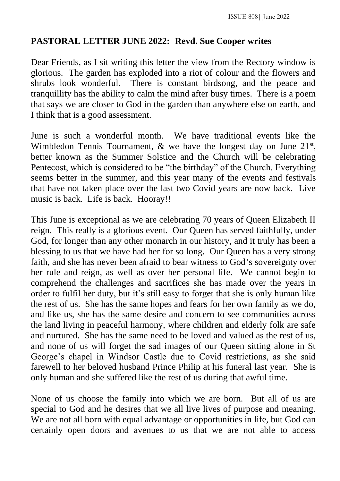## **PASTORAL LETTER JUNE 2022: Revd. Sue Cooper writes**

Dear Friends, as I sit writing this letter the view from the Rectory window is glorious. The garden has exploded into a riot of colour and the flowers and shrubs look wonderful. There is constant birdsong, and the peace and tranquillity has the ability to calm the mind after busy times. There is a poem that says we are closer to God in the garden than anywhere else on earth, and I think that is a good assessment.

June is such a wonderful month. We have traditional events like the Wimbledon Tennis Tournament,  $\&$  we have the longest day on June  $21^{st}$ , better known as the Summer Solstice and the Church will be celebrating Pentecost, which is considered to be "the birthday" of the Church. Everything seems better in the summer, and this year many of the events and festivals that have not taken place over the last two Covid years are now back. Live music is back. Life is back. Hooray!!

This June is exceptional as we are celebrating 70 years of Queen Elizabeth II reign. This really is a glorious event. Our Queen has served faithfully, under God, for longer than any other monarch in our history, and it truly has been a blessing to us that we have had her for so long. Our Queen has a very strong faith, and she has never been afraid to bear witness to God's sovereignty over her rule and reign, as well as over her personal life. We cannot begin to comprehend the challenges and sacrifices she has made over the years in order to fulfil her duty, but it's still easy to forget that she is only human like the rest of us. She has the same hopes and fears for her own family as we do, and like us, she has the same desire and concern to see communities across the land living in peaceful harmony, where children and elderly folk are safe and nurtured. She has the same need to be loved and valued as the rest of us, and none of us will forget the sad images of our Queen sitting alone in St George's chapel in Windsor Castle due to Covid restrictions, as she said farewell to her beloved husband Prince Philip at his funeral last year. She is only human and she suffered like the rest of us during that awful time.

None of us choose the family into which we are born. But all of us are special to God and he desires that we all live lives of purpose and meaning. We are not all born with equal advantage or opportunities in life, but God can certainly open doors and avenues to us that we are not able to access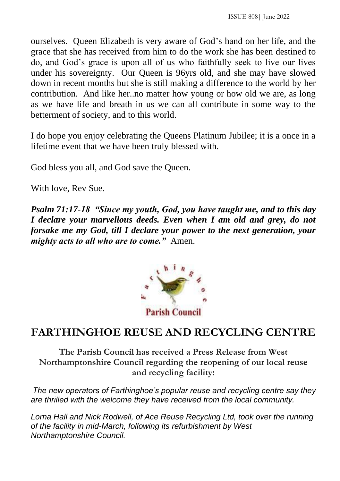ourselves. Queen Elizabeth is very aware of God's hand on her life, and the grace that she has received from him to do the work she has been destined to do, and God's grace is upon all of us who faithfully seek to live our lives under his sovereignty. Our Queen is 96yrs old, and she may have slowed down in recent months but she is still making a difference to the world by her contribution. And like her..no matter how young or how old we are, as long as we have life and breath in us we can all contribute in some way to the betterment of society, and to this world.

I do hope you enjoy celebrating the Queens Platinum Jubilee; it is a once in a lifetime event that we have been truly blessed with.

God bless you all, and God save the Queen.

With love, Rev Sue.

*Psalm 71:17-18 "Since my youth, God, you have taught me, and to this day I declare your marvellous deeds. Even when I am old and grey, do not forsake me my God, till I declare your power to the next generation, your mighty acts to all who are to come."* Amen.



## **FARTHINGHOE REUSE AND RECYCLING CENTRE**

**The Parish Council has received a Press Release from West Northamptonshire Council regarding the reopening of our local reuse and recycling facility:**

*The new operators of Farthinghoe's popular reuse and recycling centre say they are thrilled with the welcome they have received from the local community.*

Lorna Hall and Nick Rodwell, of Ace Reuse Recycling Ltd, took over the running *of the facility in mid-March, following its refurbishment by West Northamptonshire Council.*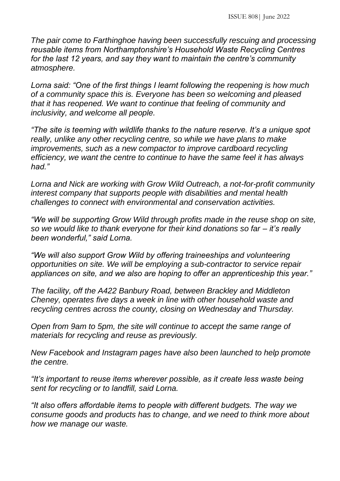*The pair come to Farthinghoe having been successfully rescuing and processing reusable items from Northamptonshire's Household Waste Recycling Centres for the last 12 years, and say they want to maintain the centre's community atmosphere.*

*Lorna said: "One of the first things I learnt following the reopening is how much of a community space this is. Everyone has been so welcoming and pleased that it has reopened. We want to continue that feeling of community and inclusivity, and welcome all people.*

*"The site is teeming with wildlife thanks to the nature reserve. It's a unique spot really, unlike any other recycling centre, so while we have plans to make improvements, such as a new compactor to improve cardboard recycling efficiency, we want the centre to continue to have the same feel it has always had."*

*Lorna and Nick are working with Grow Wild Outreach, a not-for-profit community interest company that supports people with disabilities and mental health challenges to connect with environmental and conservation activities.*

*"We will be supporting Grow Wild through profits made in the reuse shop on site, so we would like to thank everyone for their kind donations so far – it's really been wonderful," said Lorna.*

*"We will also support Grow Wild by offering traineeships and volunteering opportunities on site. We will be employing a sub-contractor to service repair appliances on site, and we also are hoping to offer an apprenticeship this year."*

*The facility, off the A422 Banbury Road, between Brackley and Middleton Cheney, operates five days a week in line with other household waste and recycling centres across the county, closing on Wednesday and Thursday.*

*Open from 9am to 5pm, the site will continue to accept the same range of materials for recycling and reuse as previously.*

*New Facebook and Instagram pages have also been launched to help promote the centre.*

*"It's important to reuse items wherever possible, as it create less waste being sent for recycling or to landfill, said Lorna.* 

*"It also offers affordable items to people with different budgets. The way we consume goods and products has to change, and we need to think more about how we manage our waste.*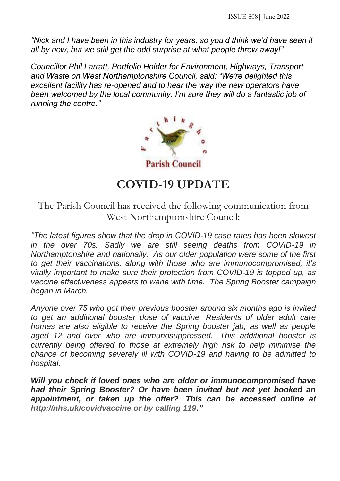*"Nick and I have been in this industry for years, so you'd think we'd have seen it all by now, but we still get the odd surprise at what people throw away!"*

*Councillor Phil Larratt, Portfolio Holder for Environment, Highways, Transport and Waste on West Northamptonshire Council, said: "We're delighted this excellent facility has re-opened and to hear the way the new operators have been welcomed by the local community. I'm sure they will do a fantastic job of running the centre."*



## **COVID-19 UPDATE**

The Parish Council has received the following communication from West Northamptonshire Council:

*"The latest figures show that the drop in COVID-19 case rates has been slowest in the over 70s. Sadly we are still seeing deaths from COVID-19 in Northamptonshire and nationally. As our older population were some of the first to get their vaccinations, along with those who are immunocompromised, it's vitally important to make sure their protection from COVID-19 is topped up, as vaccine effectiveness appears to wane with time. The Spring Booster campaign began in March.*

*Anyone over 75 who got their previous booster around six months ago is invited to get an additional booster dose of vaccine. Residents of older adult care homes are also eligible to receive the Spring booster jab, as well as people aged 12 and over who are immunosuppressed. This additional booster is currently being offered to those at extremely high risk to help minimise the chance of becoming severely ill with COVID-19 and having to be admitted to hospital.* 

*Will you check if loved ones who are older or immunocompromised have had their Spring Booster? Or have been invited but not yet booked an appointment, or taken up the offer? This can be accessed online at [http://nhs.uk/covidvaccine or by calling 119.](http://nhs.uk/covidvaccine%20or%20by%20calling%20119)"*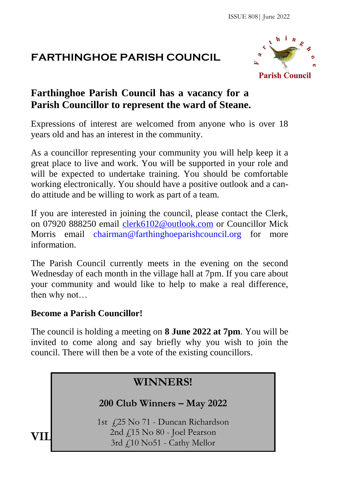## **FARTHINGHOE PARISH COUNCIL**



## **Farthinghoe Parish Council has a vacancy for a Parish Councillor to represent the ward of Steane.**

Expressions of interest are welcomed from anyone who is over 18 years old and has an interest in the community.

As a councillor representing your community you will help keep it a great place to live and work. You will be supported in your role and will be expected to undertake training. You should be comfortable working electronically. You should have a positive outlook and a cando attitude and be willing to work as part of a team.

If you are interested in joining the council, please contact the Clerk, on 07920 888250 email clerk6102@outlook.com or Councillor Mick Morris email chairman@farthinghoeparishcouncil.org for more information.

The Parish Council currently meets in the evening on the second Wednesday of each month in the village hall at 7pm. If you care about your community and would like to help to make a real difference, then why not…

## **Become a Parish Councillor!**

The council is holding a meeting on **8 June 2022 at 7pm**. You will be invited to come along and say briefly why you wish to join the council. There will then be a vote of the existing councillors.

## **WINNERS!**

## **200 Club Winners – May 2022**

 $VII$  2nd  $f_{15}$  No 80 - Joel Pearson 1st £25 No 71 - Duncan Richardson 3rd £10 No51 - Cathy Mellor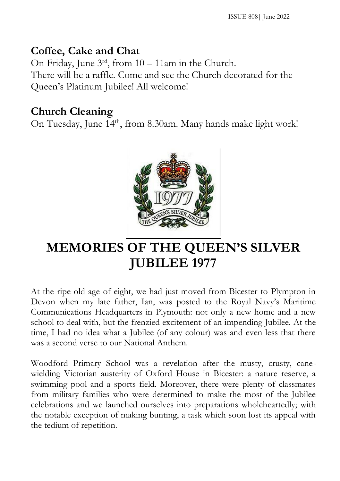## **Coffee, Cake and Chat**

On Friday, June 3rd, from 10 – 11am in the Church. There will be a raffle. Come and see the Church decorated for the Queen's Platinum Jubilee! All welcome!

## **Church Cleaning**

On Tuesday, June 14<sup>th</sup>, from 8.30am. Many hands make light work!



# **MEMORIES OF THE QUEEN'S SILVER JUBILEE 1977**

At the ripe old age of eight, we had just moved from Bicester to Plympton in Devon when my late father, Ian, was posted to the Royal Navy's Maritime Communications Headquarters in Plymouth: not only a new home and a new school to deal with, but the frenzied excitement of an impending Jubilee. At the time, I had no idea what a Jubilee (of any colour) was and even less that there was a second verse to our National Anthem.

Woodford Primary School was a revelation after the musty, crusty, canewielding Victorian austerity of Oxford House in Bicester: a nature reserve, a swimming pool and a sports field. Moreover, there were plenty of classmates from military families who were determined to make the most of the Jubilee celebrations and we launched ourselves into preparations wholeheartedly; with the notable exception of making bunting, a task which soon lost its appeal with the tedium of repetition.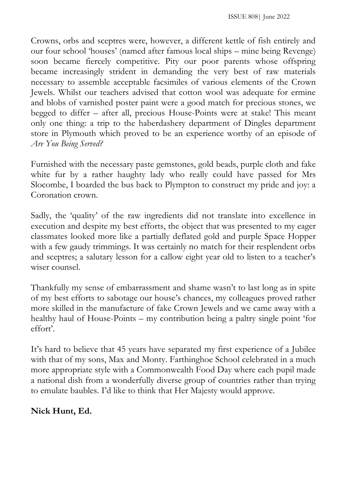Crowns, orbs and sceptres were, however, a different kettle of fish entirely and our four school 'houses' (named after famous local ships – mine being Revenge) soon became fiercely competitive. Pity our poor parents whose offspring became increasingly strident in demanding the very best of raw materials necessary to assemble acceptable facsimiles of various elements of the Crown Jewels. Whilst our teachers advised that cotton wool was adequate for ermine and blobs of varnished poster paint were a good match for precious stones, we begged to differ – after all, precious House-Points were at stake! This meant only one thing: a trip to the haberdashery department of Dingles department store in Plymouth which proved to be an experience worthy of an episode of *Are You Being Served?*

Furnished with the necessary paste gemstones, gold beads, purple cloth and fake white fur by a rather haughty lady who really could have passed for Mrs Slocombe, I boarded the bus back to Plympton to construct my pride and joy: a Coronation crown.

Sadly, the 'quality' of the raw ingredients did not translate into excellence in execution and despite my best efforts, the object that was presented to my eager classmates looked more like a partially deflated gold and purple Space Hopper with a few gaudy trimmings. It was certainly no match for their resplendent orbs and sceptres; a salutary lesson for a callow eight year old to listen to a teacher's wiser counsel.

Thankfully my sense of embarrassment and shame wasn't to last long as in spite of my best efforts to sabotage our house's chances, my colleagues proved rather more skilled in the manufacture of fake Crown Jewels and we came away with a healthy haul of House-Points – my contribution being a paltry single point 'for effort'.

It's hard to believe that 45 years have separated my first experience of a Jubilee with that of my sons, Max and Monty. Farthinghoe School celebrated in a much more appropriate style with a Commonwealth Food Day where each pupil made a national dish from a wonderfully diverse group of countries rather than trying to emulate baubles. I'd like to think that Her Majesty would approve.

## **Nick Hunt, Ed.**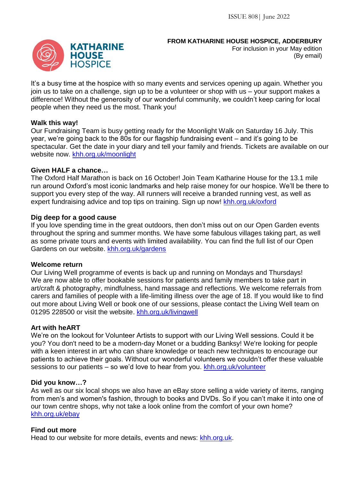#### **FROM KATHARINE HOUSE HOSPICE, ADDERBURY**

For inclusion in your May edition (By email)

It's a busy time at the hospice with so many events and services opening up again. Whether you join us to take on a challenge, sign up to be a volunteer or shop with us – your support makes a difference! Without the generosity of our wonderful community, we couldn't keep caring for local people when they need us the most. Thank you!

#### **Walk this way!**

Our Fundraising Team is busy getting ready for the Moonlight Walk on Saturday 16 July. This year, we're going back to the 80s for our flagship fundraising event – and it's going to be spectacular. Get the date in your diary and tell your family and friends. Tickets are available on our website now. khh.org.uk/moonlight

#### **Given HALF a chance…**

The Oxford Half Marathon is back on 16 October! Join Team Katharine House for the 13.1 mile run around Oxford's most iconic landmarks and help raise money for our hospice. We'll be there to support you every step of the way. All runners will receive a branded running vest, as well as expert fundraising advice and top tips on training. Sign up now! khh.org.uk/oxford

#### **Dig deep for a good cause**

If you love spending time in the great outdoors, then don't miss out on our Open Garden events throughout the spring and summer months. We have some fabulous villages taking part, as well as some private tours and events with limited availability. You can find the full list of our Open Gardens on our website. khh.org.uk/gardens

#### **Welcome return**

Our Living Well programme of events is back up and running on Mondays and Thursdays! We are now able to offer bookable sessions for patients and family members to take part in art/craft & photography, mindfulness, hand massage and reflections. We welcome referrals from carers and families of people with a life-limiting illness over the age of 18. If you would like to find out more about Living Well or book one of our sessions, please contact the Living Well team on 01295 228500 or visit the website. khh.org.uk/livingwell

#### **Art with heART**

We're on the lookout for Volunteer Artists to support with our Living Well sessions. Could it be you? You don't need to be a modern-day Monet or a budding Banksy! We're looking for people with a keen interest in art who can share knowledge or teach new techniques to encourage our patients to achieve their goals. Without our wonderful volunteers we couldn't offer these valuable sessions to our patients – so we'd love to hear from you. khh.org.uk/volunteer

#### **Did you know…?**

As well as our six local shops we also have an eBay store selling a wide variety of items, ranging from men's and women's fashion, through to books and DVDs. So if you can't make it into one of our town centre shops, why not take a look online from the comfort of your own home? khh.org.uk/ebay

#### **Find out more**

Head to our website for more details, events and news: khh.org.uk.

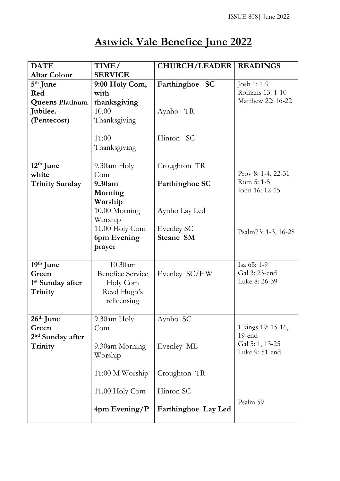# **Astwick Vale Benefice June 2022**

| <b>DATE</b>                  | TIME/                   | <b>CHURCH/LEADER</b>  | <b>READINGS</b>     |
|------------------------------|-------------------------|-----------------------|---------------------|
| <b>Altar Colour</b>          | <b>SERVICE</b>          |                       |                     |
| $5th$ June                   | 9:00 Holy Com,          | Farthinghoe SC        | Josh 1: 1-9         |
| Red                          | with                    |                       | Romans 13: 1-10     |
| <b>Queens Platinum</b>       | thanksgiving            |                       | Matthew 22: 16-22   |
| Jubilee.                     | 10.00                   | Aynho TR              |                     |
| (Pentecost)                  | Thanksgiving            |                       |                     |
|                              |                         |                       |                     |
|                              | 11:00                   | Hinton SC             |                     |
|                              | Thanksgiving            |                       |                     |
|                              |                         |                       |                     |
| $12th$ June                  | 9.30am Holy             | Croughton TR          |                     |
| white                        | Com                     |                       | Prov 8: 1-4, 22-31  |
| <b>Trinity Sunday</b>        | 9.30am                  | <b>Farthinghoe SC</b> | Rom 5: 1-5          |
|                              | Morning                 |                       | John 16: 12-15      |
|                              | Worship                 |                       |                     |
|                              | 10.00 Morning           | Aynho Lay Led         |                     |
|                              | Worship                 |                       |                     |
|                              | 11.00 Holy Com          | Evenley SC            |                     |
|                              | 6pm Evening             | <b>Steane SM</b>      | Psalm73; 1-3, 16-28 |
|                              | prayer                  |                       |                     |
|                              |                         |                       |                     |
| 19th June                    | 10.30am                 |                       | Isa 65: 1-9         |
| Green                        | <b>Benefice Service</b> | Evenley SC/HW         | Gal 3: 23-end       |
| 1 <sup>st</sup> Sunday after | Holy Com                |                       | Luke 8: 26-39       |
| Trinity                      | Revd Hugh's             |                       |                     |
|                              | relicensing             |                       |                     |
|                              |                         |                       |                     |
| 26 <sup>th</sup> June        | 9.30am Holy             | Aynho SC              |                     |
| Green                        | Com                     |                       | 1 kings 19: 15-16,  |
| 2 <sup>nd</sup> Sunday after |                         |                       | 19-end              |
| Trinity                      | 9.30am Morning          | Evenley ML            | Gal 5: 1, 13-25     |
|                              | Worship                 |                       | Luke 9: 51-end      |
|                              |                         |                       |                     |
|                              | $11:00 M$ Worship       | Croughton TR          |                     |
|                              |                         |                       |                     |
|                              | 11.00 Holy Com          | Hinton SC             |                     |
|                              |                         |                       | Psalm 59            |
|                              | 4pm Evening/P           | Farthinghoe Lay Led   |                     |
|                              |                         |                       |                     |